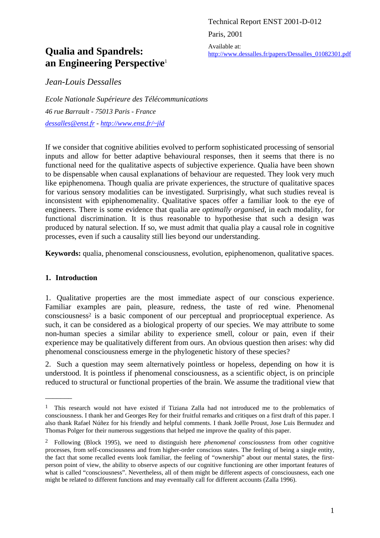Technical Report ENST 2001-D-012 Paris, 2001 Available at: http://www.dessalles.fr/papers/Dessalles\_01082301.pdf

# **Qualia and Spandrels: an Engineering Perspective**<sup>1</sup>

*Jean-Louis Dessalles*

*Ecole Nationale Supérieure des Télécommunications 46 rue Barrault - 75013 Paris - France dessalles@enst.fr - http://www.enst.fr/~jld* 

If we consider that cognitive abilities evolved to perform sophisticated processing of sensorial inputs and allow for better adaptive behavioural responses, then it seems that there is no functional need for the qualitative aspects of subjective experience. Qualia have been shown to be dispensable when causal explanations of behaviour are requested. They look very much like epiphenomena. Though qualia are private experiences, the structure of qualitative spaces for various sensory modalities can be investigated. Surprisingly, what such studies reveal is inconsistent with epiphenomenality. Qualitative spaces offer a familiar look to the eye of engineers. There is some evidence that qualia are *optimally organised*, in each modality, for functional discrimination. It is thus reasonable to hypothesise that such a design was produced by natural selection. If so, we must admit that qualia play a causal role in cognitive processes, even if such a causality still lies beyond our understanding.

Keywords: qualia, phenomenal consciousness, evolution, epiphenomenon, qualitative spaces.

#### **1. Introduction**

 $\overline{\phantom{a}}$ 

1. Qualitative properties are the most immediate aspect of our conscious experience. Familiar examples are pain, pleasure, redness, the taste of red wine. Phenomenal consciousness2 is a basic component of our perceptual and proprioceptual experience. As such, it can be considered as a biological property of our species. We may attribute to some non-human species a similar ability to experience smell, colour or pain, even if their experience may be qualitatively different from ours. An obvious question then arises: why did phenomenal consciousness emerge in the phylogenetic history of these species?

2. Such a question may seem alternatively pointless or hopeless, depending on how it is understood. It is pointless if phenomenal consciousness, as a scientific object, is on principle reduced to structural or functional properties of the brain. We assume the traditional view that

<sup>&</sup>lt;sup>1</sup> This research would not have existed if Tiziana Zalla had not introduced me to the problematics of consciousness. I thank her and Georges Rey for their fruitful remarks and critiques on a first draft of this paper. I also thank Rafael Núñez for his friendly and helpful comments. I thank Joëlle Proust, Jose Luis Bermudez and Thomas Polger for their numerous suggestions that helped me improve the quality of this paper.

<sup>2</sup> Following (Block 1995), we need to distinguish here *phenomenal consciousness* from other cognitive processes, from self-consciousness and from higher-order conscious states. The feeling of being a single entity, the fact that some recalled events look familiar, the feeling of "ownership" about our mental states, the firstperson point of view, the ability to observe aspects of our cognitive functioning are other important features of what is called "consciousness". Nevertheless, all of them might be different aspects of consciousness, each one might be related to different functions and may eventually call for different accounts (Zalla 1996).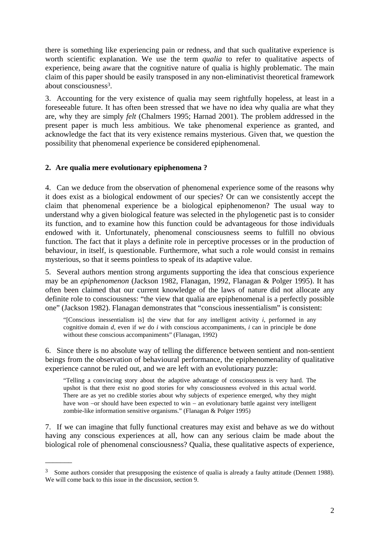there is something like experiencing pain or redness, and that such qualitative experience is worth scientific explanation. We use the term *qualia* to refer to qualitative aspects of experience, being aware that the cognitive nature of qualia is highly problematic. The main claim of this paper should be easily transposed in any non-eliminativist theoretical framework about consciousness3.

3. Accounting for the very existence of qualia may seem rightfully hopeless, at least in a foreseeable future. It has often been stressed that we have no idea why qualia are what they are, why they are simply *felt* (Chalmers 1995; Harnad 2001). The problem addressed in the present paper is much less ambitious. We take phenomenal experience as granted, and acknowledge the fact that its very existence remains mysterious. Given that, we question the possibility that phenomenal experience be considered epiphenomenal.

#### **2. Are qualia mere evolutionary epiphenomena ?**

 $\overline{\phantom{a}}$ 

4. Can we deduce from the observation of phenomenal experience some of the reasons why it does exist as a biological endowment of our species? Or can we consistently accept the claim that phenomenal experience be a biological epiphenomenon? The usual way to understand why a given biological feature was selected in the phylogenetic past is to consider its function, and to examine how this function could be advantageous for those individuals endowed with it. Unfortunately, phenomenal consciousness seems to fulfill no obvious function. The fact that it plays a definite role in perceptive processes or in the production of behaviour, in itself, is questionable. Furthermore, what such a role would consist in remains mysterious, so that it seems pointless to speak of its adaptive value.

5. Several authors mention strong arguments supporting the idea that conscious experience may be an *epiphenomenon* (Jackson 1982, Flanagan, 1992, Flanagan & Polger 1995). It has often been claimed that our current knowledge of the laws of nature did not allocate any definite role to consciousness: "the view that qualia are epiphenomenal is a perfectly possible one" (Jackson 1982). Flanagan demonstrates that "conscious inessentialism" is consistent:

"[Conscious inessentialism is] the view that for any intelligent activity *i*, performed in any cognitive domain *d*, even if *we* do *i* with conscious accompaniments, *i* can in principle be done without these conscious accompaniments" (Flanagan, 1992)

6. Since there is no absolute way of telling the difference between sentient and non-sentient beings from the observation of behavioural performance, the epiphenomenality of qualitative experience cannot be ruled out, and we are left with an evolutionary puzzle:

"Telling a convincing story about the adaptive advantage of consciousness is very hard. The upshot is that there exist no good stories for why consciousness evolved in this actual world. There are as yet no credible stories about why subjects of experience emerged, why they might have won  $-$ or should have been expected to win  $-$  an evolutionary battle against very intelligent zombie-like information sensitive organisms." (Flanagan & Polger 1995)

7. If we can imagine that fully functional creatures may exist and behave as we do without having any conscious experiences at all, how can any serious claim be made about the biological role of phenomenal consciousness? Qualia, these qualitative aspects of experience,

 $3$  Some authors consider that presupposing the existence of qualia is already a faulty attitude (Dennett 1988). We will come back to this issue in the discussion, section 9.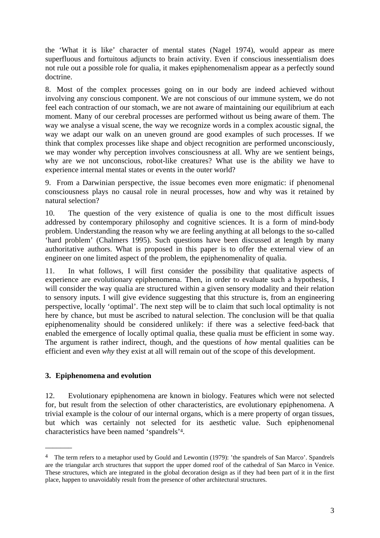the 'What it is like' character of mental states (Nagel 1974), would appear as mere superfluous and fortuitous adjuncts to brain activity. Even if conscious inessentialism does not rule out a possible role for qualia, it makes epiphenomenalism appear as a perfectly sound doctrine.

8. Most of the complex processes going on in our body are indeed achieved without involving any conscious component. We are not conscious of our immune system, we do not feel each contraction of our stomach, we are not aware of maintaining our equilibrium at each moment. Many of our cerebral processes are performed without us being aware of them. The way we analyse a visual scene, the way we recognize words in a complex acoustic signal, the way we adapt our walk on an uneven ground are good examples of such processes. If we think that complex processes like shape and object recognition are performed unconsciously, we may wonder why perception involves consciousness at all. Why are we sentient beings, why are we not unconscious, robot-like creatures? What use is the ability we have to experience internal mental states or events in the outer world?

9. From a Darwinian perspective, the issue becomes even more enigmatic: if phenomenal consciousness plays no causal role in neural processes, how and why was it retained by natural selection?

10. The question of the very existence of qualia is one to the most difficult issues addressed by contemporary philosophy and cognitive sciences. It is a form of mind-body problem. Understanding the reason why we are feeling anything at all belongs to the so-called 'hard problem' (Chalmers 1995). Such questions have been discussed at length by many authoritative authors. What is proposed in this paper is to offer the external view of an engineer on one limited aspect of the problem, the epiphenomenality of qualia.

11. In what follows, I will first consider the possibility that qualitative aspects of experience are evolutionary epiphenomena. Then, in order to evaluate such a hypothesis, I will consider the way qualia are structured within a given sensory modality and their relation to sensory inputs. I will give evidence suggesting that this structure is, from an engineering perspective, locally 'optimal'. The next step will be to claim that such local optimality is not here by chance, but must be ascribed to natural selection. The conclusion will be that qualia epiphenomenality should be considered unlikely: if there was a selective feed-back that enabled the emergence of locally optimal qualia, these qualia must be efficient in some way. The argument is rather indirect, though, and the questions of *how* mental qualities can be efficient and even *why* they exist at all will remain out of the scope of this development.

#### **3. Epiphenomena and evolution**

 $\overline{\phantom{a}}$ 

12. Evolutionary epiphenomena are known in biology. Features which were not selected for, but result from the selection of other characteristics, are evolutionary epiphenomena. A trivial example is the colour of our internal organs, which is a mere property of organ tissues, but which was certainly not selected for its aesthetic value. Such epiphenomenal characteristics have been named 'spandrels'4.

<sup>&</sup>lt;sup>4</sup> The term refers to a metaphor used by Gould and Lewontin (1979): 'the spandrels of San Marco'. Spandrels are the triangular arch structures that support the upper domed roof of the cathedral of San Marco in Venice. These structures, which are integrated in the global decoration design as if they had been part of it in the first place, happen to unavoidably result from the presence of other architectural structures.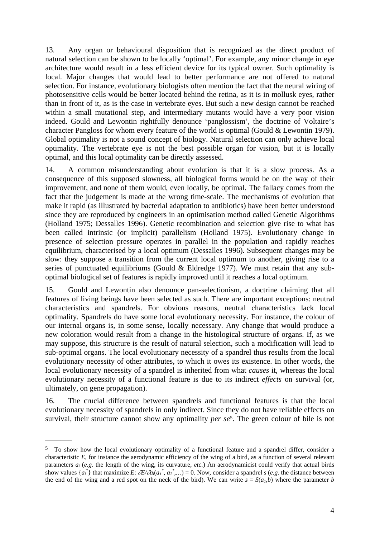13. Any organ or behavioural disposition that is recognized as the direct product of natural selection can be shown to be locally 'optimal'. For example, any minor change in eye architecture would result in a less efficient device for its typical owner. Such optimality is local. Major changes that would lead to better performance are not offered to natural selection. For instance, evolutionary biologists often mention the fact that the neural wiring of photosensitive cells would be better located behind the retina, as it is in mollusk eyes, rather than in front of it, as is the case in vertebrate eyes. But such a new design cannot be reached within a small mutational step, and intermediary mutants would have a very poor vision indeed. Gould and Lewontin rightfully denounce 'panglossism', the doctrine of Voltaire's character Pangloss for whom every feature of the world is optimal (Gould & Lewontin 1979). Global optimality is not a sound concept of biology. Natural selection can only achieve local optimality. The vertebrate eye is not the best possible organ for vision, but it is locally optimal, and this local optimality can be directly assessed.

14. A common misunderstanding about evolution is that it is a slow process. As a consequence of this supposed slowness, all biological forms would be on the way of their improvement, and none of them would, even locally, be optimal. The fallacy comes from the fact that the judgement is made at the wrong time-scale. The mechanisms of evolution that make it rapid (as illustrated by bacterial adaptation to antibiotics) have been better understood since they are reproduced by engineers in an optimisation method called Genetic Algorithms (Holland 1975; Dessalles 1996). Genetic recombination and selection give rise to what has been called intrinsic (or implicit) parallelism (Holland 1975). Evolutionary change in presence of selection pressure operates in parallel in the population and rapidly reaches equilibrium, characterised by a local optimum (Dessalles 1996). Subsequent changes may be slow: they suppose a transition from the current local optimum to another, giving rise to a series of punctuated equilibriums (Gould & Eldredge 1977). We must retain that any suboptimal biological set of features is rapidly improved until it reaches a local optimum.

15. Gould and Lewontin also denounce pan-selectionism, a doctrine claiming that all features of living beings have been selected as such. There are important exceptions: neutral characteristics and spandrels. For obvious reasons, neutral characteristics lack local optimality. Spandrels do have some local evolutionary necessity. For instance, the colour of our internal organs is, in some sense, locally necessary. Any change that would produce a new coloration would result from a change in the histological structure of organs. If, as we may suppose, this structure is the result of natural selection, such a modification will lead to sub-optimal organs. The local evolutionary necessity of a spandrel thus results from the local evolutionary necessity of other attributes, to which it owes its existence. In other words, the local evolutionary necessity of a spandrel is inherited from what *causes* it, whereas the local evolutionary necessity of a functional feature is due to its indirect *effects* on survival (or, ultimately, on gene propagation).

16. The crucial difference between spandrels and functional features is that the local evolutionary necessity of spandrels in only indirect. Since they do not have reliable effects on survival, their structure cannot show any optimality *per se*5. The green colour of bile is not

<sup>5</sup> To show how the local evolutionary optimality of a functional feature and a spandrel differ, consider a characteristic *E*, for instance the aerodynamic efficiency of the wing of a bird, as a function of several relevant parameters *ai* (*e.g.* the length of the wing, its curvature, *etc.*) An aerodynamicist could verify that actual birds show values  ${a_i}^*$  that maximize *E*:  $\partial E/\partial a_i(a_i^*, a_2^*, ...) = 0$ . Now, consider a spandrel *s* (*e.g.* the distance between the end of the wing and a red spot on the neck of the bird). We can write  $s = S(a_i, b)$  where the parameter *b*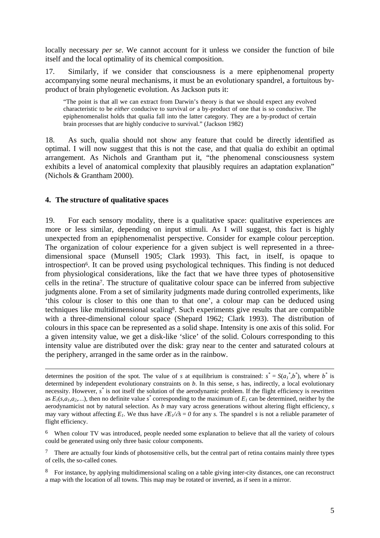locally necessary *per se*. We cannot account for it unless we consider the function of bile itself and the local optimality of its chemical composition.

17. Similarly, if we consider that consciousness is a mere epiphenomenal property accompanying some neural mechanisms, it must be an evolutionary spandrel, a fortuitous byproduct of brain phylogenetic evolution. As Jackson puts it:

"The point is that all we can extract from Darwin's theory is that we should expect any evolved characteristic to be *either* conducive to survival *or* a by-product of one that is so conducive. The epiphenomenalist holds that qualia fall into the latter category. They are a by-product of certain brain processes that are highly conducive to survival." (Jackson 1982)

18. As such, qualia should not show any feature that could be directly identified as optimal. I will now suggest that this is not the case, and that qualia do exhibit an optimal arrangement. As Nichols and Grantham put it, "the phenomenal consciousness system exhibits a level of anatomical complexity that plausibly requires an adaptation explanation" (Nichols & Grantham 2000).

#### **4. The structure of qualitative spaces**

<u>.</u>

19. For each sensory modality, there is a qualitative space: qualitative experiences are more or less similar, depending on input stimuli. As I will suggest, this fact is highly unexpected from an epiphenomenalist perspective. Consider for example colour perception. The organization of colour experience for a given subject is well represented in a threedimensional space (Munsell 1905; Clark 1993). This fact, in itself, is opaque to introspection6. It can be proved using psychological techniques. This finding is not deduced from physiological considerations, like the fact that we have three types of photosensitive cells in the retina7. The structure of qualitative colour space can be inferred from subjective judgments alone. From a set of similarity judgments made during controlled experiments, like 'this colour is closer to this one than to that one', a colour map can be deduced using techniques like multidimensional scaling8. Such experiments give results that are compatible with a three-dimensional colour space (Shepard 1962; Clark 1993). The distribution of colours in this space can be represented as a solid shape. Intensity is one axis of this solid. For a given intensity value, we get a disk-like 'slice' of the solid. Colours corresponding to this intensity value are distributed over the disk: gray near to the center and saturated colours at the periphery, arranged in the same order as in the rainbow.

determines the position of the spot. The value of *s* at equilibrium is constrained:  $s^* = S(a_1^*, b^*)$ , where  $b^*$  is determined by independent evolutionary constraints on *b*. In this sense, *s* has, indirectly, a local evolutionary necessity. However, *s*<sup>\*</sup> is not itself the solution of the aerodynamic problem. If the flight efficiency is rewritten as  $E_1(s, a_1, a_2, \ldots)$ , then no definite value  $s^*$  corresponding to the maximum of  $E_1$  can be determined, neither by the aerodynamicist not by natural selection. As *b* may vary across generations without altering flight efficiency, *s* may vary without affecting  $E_1$ . We thus have  $\partial E_1/\partial s = 0$  for any *s*. The spandrel *s* is not a reliable parameter of flight efficiency.

<sup>6</sup> When colour TV was introduced, people needed some explanation to believe that all the variety of colours could be generated using only three basic colour components.

<sup>&</sup>lt;sup>7</sup> There are actually four kinds of photosensitive cells, but the central part of retina contains mainly three types of cells, the so-called cones.

<sup>&</sup>lt;sup>8</sup> For instance, by applying multidimensional scaling on a table giving inter-city distances, one can reconstruct a map with the location of all towns. This map may be rotated or inverted, as if seen in a mirror.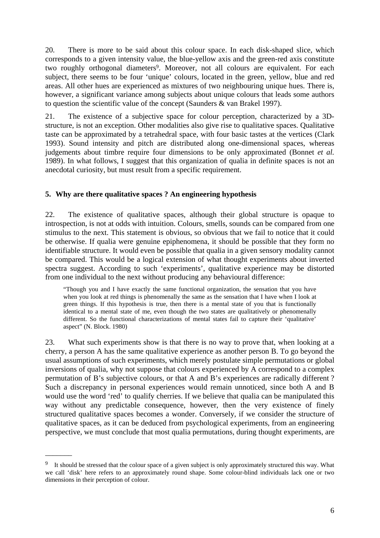20. There is more to be said about this colour space. In each disk-shaped slice, which corresponds to a given intensity value, the blue-yellow axis and the green-red axis constitute two roughly orthogonal diameters<sup>9</sup>. Moreover, not all colours are equivalent. For each subject, there seems to be four 'unique' colours, located in the green, yellow, blue and red areas. All other hues are experienced as mixtures of two neighbouring unique hues. There is, however, a significant variance among subjects about unique colours that leads some authors to question the scientific value of the concept (Saunders & van Brakel 1997).

21. The existence of a subjective space for colour perception, characterized by a 3Dstructure, is not an exception. Other modalities also give rise to qualitative spaces. Qualitative taste can be approximated by a tetrahedral space, with four basic tastes at the vertices (Clark 1993). Sound intensity and pitch are distributed along one-dimensional spaces, whereas judgements about timbre require four dimensions to be only approximated (Bonnet *et al.* 1989). In what follows, I suggest that this organization of qualia in definite spaces is not an anecdotal curiosity, but must result from a specific requirement.

#### **5. Why are there qualitative spaces ? An engineering hypothesis**

22. The existence of qualitative spaces, although their global structure is opaque to introspection, is not at odds with intuition. Colours, smells, sounds can be compared from one stimulus to the next. This statement is obvious, so obvious that we fail to notice that it could be otherwise. If qualia were genuine epiphenomena, it should be possible that they form no identifiable structure. It would even be possible that qualia in a given sensory modality cannot be compared. This would be a logical extension of what thought experiments about inverted spectra suggest. According to such 'experiments', qualitative experience may be distorted from one individual to the next without producing any behavioural difference:

"Though you and I have exactly the same functional organization, the sensation that you have when you look at red things is phenomenally the same as the sensation that I have when I look at green things. If this hypothesis is true, then there is a mental state of you that is functionally identical to a mental state of me, even though the two states are qualitatively or phenomenally different. So the functional characterizations of mental states fail to capture their 'qualitative' aspect" (N. Block. 1980)

23. What such experiments show is that there is no way to prove that, when looking at a cherry, a person A has the same qualitative experience as another person B. To go beyond the usual assumptions of such experiments, which merely postulate simple permutations or global inversions of qualia, why not suppose that colours experienced by A correspond to a complex permutation of B's subjective colours, or that A and B's experiences are radically different ? Such a discrepancy in personal experiences would remain unnoticed, since both A and B would use the word 'red' to qualify cherries. If we believe that qualia can be manipulated this way without any predictable consequence, however, then the very existence of finely structured qualitative spaces becomes a wonder. Conversely, if we consider the structure of qualitative spaces, as it can be deduced from psychological experiments, from an engineering perspective, we must conclude that most qualia permutations, during thought experiments, are

<sup>&</sup>lt;sup>9</sup> It should be stressed that the colour space of a given subject is only approximately structured this way. What we call 'disk' here refers to an approximately round shape. Some colour-blind individuals lack one or two dimensions in their perception of colour.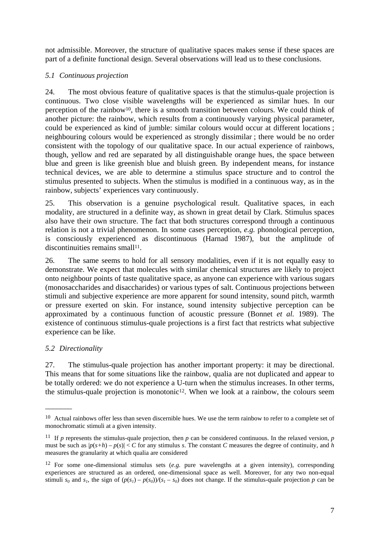not admissible. Moreover, the structure of qualitative spaces makes sense if these spaces are part of a definite functional design. Several observations will lead us to these conclusions.

#### *5.1 Continuous projection*

24. The most obvious feature of qualitative spaces is that the stimulus-quale projection is continuous. Two close visible wavelengths will be experienced as similar hues. In our perception of the rainbow10, there is a smooth transition between colours. We could think of another picture: the rainbow, which results from a continuously varying physical parameter, could be experienced as kind of jumble: similar colours would occur at different locations ; neighbouring colours would be experienced as strongly dissimilar ; there would be no order consistent with the topology of our qualitative space. In our actual experience of rainbows, though, yellow and red are separated by all distinguishable orange hues, the space between blue and green is like greenish blue and bluish green. By independent means, for instance technical devices, we are able to determine a stimulus space structure and to control the stimulus presented to subjects. When the stimulus is modified in a continuous way, as in the rainbow, subjects' experiences vary continuously.

25. This observation is a genuine psychological result. Qualitative spaces, in each modality, are structured in a definite way, as shown in great detail by Clark. Stimulus spaces also have their own structure. The fact that both structures correspond through a continuous relation is not a trivial phenomenon. In some cases perception, *e.g.* phonological perception, is consciously experienced as discontinuous (Harnad 1987), but the amplitude of  $discontinuities$  remains small<sup>11</sup>.

26. The same seems to hold for all sensory modalities, even if it is not equally easy to demonstrate. We expect that molecules with similar chemical structures are likely to project onto neighbour points of taste qualitative space, as anyone can experience with various sugars (monosaccharides and disaccharides) or various types of salt. Continuous projections between stimuli and subjective experience are more apparent for sound intensity, sound pitch, warmth or pressure exerted on skin. For instance, sound intensity subjective perception can be approximated by a continuous function of acoustic pressure (Bonnet *et al.* 1989). The existence of continuous stimulus-quale projections is a first fact that restricts what subjective experience can be like.

## *5.2 Directionality*

 $\overline{\phantom{a}}$ 

27. The stimulus-quale projection has another important property: it may be directional. This means that for some situations like the rainbow, qualia are not duplicated and appear to be totally ordered: we do not experience a U-turn when the stimulus increases. In other terms, the stimulus-quale projection is monotonic<sup>12</sup>. When we look at a rainbow, the colours seem

<sup>&</sup>lt;sup>10</sup> Actual rainbows offer less than seven discernible hues. We use the term rainbow to refer to a complete set of monochromatic stimuli at a given intensity.

<sup>&</sup>lt;sup>11</sup> If *p* represents the stimulus-quale projection, then *p* can be considered continuous. In the relaxed version, *p* must be such as  $|p(s+h) - p(s)| < C$  for any stimulus *s*. The constant *C* measures the degree of continuity, and *h* measures the granularity at which qualia are considered

<sup>12</sup> For some one-dimensional stimulus sets (*e.g.* pure wavelengths at a given intensity), corresponding experiences are structured as an ordered, one-dimensional space as well. Moreover, for any two non-equal stimuli  $s_0$  and  $s_1$ , the sign of  $(p(s_1) - p(s_0))/(s_1 - s_0)$  does not change. If the stimulus-quale projection *p* can be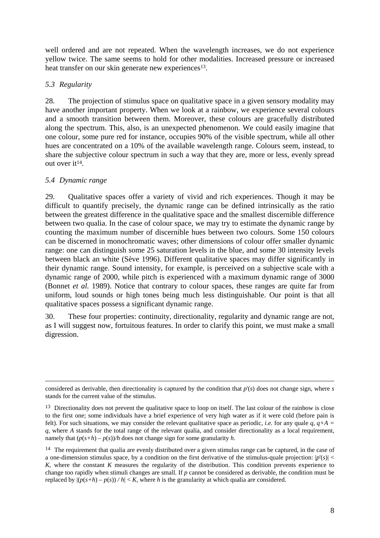well ordered and are not repeated. When the wavelength increases, we do not experience yellow twice. The same seems to hold for other modalities. Increased pressure or increased heat transfer on our skin generate new experiences<sup>13</sup>.

### *5.3 Regularity*

28. The projection of stimulus space on qualitative space in a given sensory modality may have another important property. When we look at a rainbow, we experience several colours and a smooth transition between them. Moreover, these colours are gracefully distributed along the spectrum. This, also, is an unexpected phenomenon. We could easily imagine that one colour, some pure red for instance, occupies 90% of the visible spectrum, while all other hues are concentrated on a 10% of the available wavelength range. Colours seem, instead, to share the subjective colour spectrum in such a way that they are, more or less, evenly spread out over  $it^{14}$ .

#### *5.4 Dynamic range*

<u>.</u>

29. Qualitative spaces offer a variety of vivid and rich experiences. Though it may be difficult to quantify precisely, the dynamic range can be defined intrinsically as the ratio between the greatest difference in the qualitative space and the smallest discernible difference between two qualia. In the case of colour space, we may try to estimate the dynamic range by counting the maximum number of discernible hues between two colours. Some 150 colours can be discerned in monochromatic waves; other dimensions of colour offer smaller dynamic range: one can distinguish some 25 saturation levels in the blue, and some 30 intensity levels between black an white (Sève 1996). Different qualitative spaces may differ significantly in their dynamic range. Sound intensity, for example, is perceived on a subjective scale with a dynamic range of 2000, while pitch is experienced with a maximum dynamic range of 3000 (Bonnet *et al.* 1989). Notice that contrary to colour spaces, these ranges are quite far from uniform, loud sounds or high tones being much less distinguishable. Our point is that all qualitative spaces possess a significant dynamic range.

30. These four properties: continuity, directionality, regularity and dynamic range are not, as I will suggest now, fortuitous features. In order to clarify this point, we must make a small digression.

considered as derivable, then directionality is captured by the condition that *p*'(*s*) does not change sign, where *s* stands for the current value of the stimulus.

<sup>&</sup>lt;sup>13</sup> Directionality does not prevent the qualitative space to loop on itself. The last colour of the rainbow is close to the first one; some individuals have a brief experience of very high water as if it were cold (before pain is felt). For such situations, we may consider the relevant qualitative space as periodic, *i.e.* for any quale  $q$ ,  $q+A =$ *q*, where *A* stands for the total range of the relevant qualia, and consider directionality as a local requirement, namely that  $(p(s+h) - p(s))/h$  does not change sign for some granularity *h*.

<sup>&</sup>lt;sup>14</sup> The requirement that qualia are evenly distributed over a given stimulus range can be captured, in the case of a one-dimension stimulus space, by a condition on the first derivative of the stimulus-quale projection:  $|p'(s)| <$ *K*, where the constant *K* measures the regularity of the distribution. This condition prevents experience to change too rapidly when stimuli changes are small. If *p* cannot be considered as derivable, the condition must be replaced by  $|(p(s+h) - p(s))/h| \le K$ , where *h* is the granularity at which qualia are considered.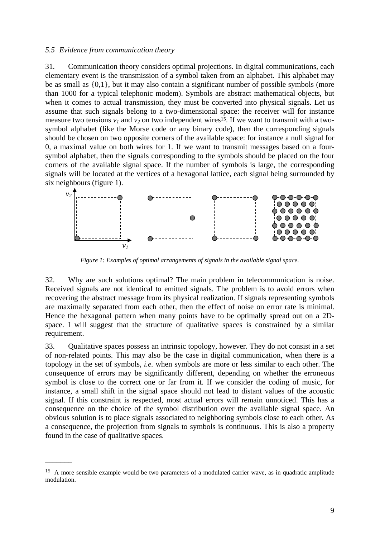#### *5.5 Evidence from communication theory*

 $\overline{\phantom{a}}$ 

31. Communication theory considers optimal projections. In digital communications, each elementary event is the transmission of a symbol taken from an alphabet. This alphabet may be as small as {0,1}, but it may also contain a significant number of possible symbols (more than 1000 for a typical telephonic modem). Symbols are abstract mathematical objects, but when it comes to actual transmission, they must be converted into physical signals. Let us assume that such signals belong to a two-dimensional space: the receiver will for instance measure two tensions  $v_1$  and  $v_2$  on two independent wires<sup>15</sup>. If we want to transmit with a twosymbol alphabet (like the Morse code or any binary code), then the corresponding signals should be chosen on two opposite corners of the available space: for instance a null signal for 0, a maximal value on both wires for 1. If we want to transmit messages based on a foursymbol alphabet, then the signals corresponding to the symbols should be placed on the four corners of the available signal space. If the number of symbols is large, the corresponding signals will be located at the vertices of a hexagonal lattice, each signal being surrounded by six neighbours (figure 1).



*Figure 1: Examples of optimal arrangements of signals in the available signal space.* 

32. Why are such solutions optimal? The main problem in telecommunication is noise. Received signals are not identical to emitted signals. The problem is to avoid errors when recovering the abstract message from its physical realization. If signals representing symbols are maximally separated from each other, then the effect of noise on error rate is minimal. Hence the hexagonal pattern when many points have to be optimally spread out on a 2Dspace. I will suggest that the structure of qualitative spaces is constrained by a similar requirement.

33. Qualitative spaces possess an intrinsic topology, however. They do not consist in a set of non-related points. This may also be the case in digital communication, when there is a topology in the set of symbols, *i.e.* when symbols are more or less similar to each other. The consequence of errors may be significantly different, depending on whether the erroneous symbol is close to the correct one or far from it. If we consider the coding of music, for instance, a small shift in the signal space should not lead to distant values of the acoustic signal. If this constraint is respected, most actual errors will remain unnoticed. This has a consequence on the choice of the symbol distribution over the available signal space. An obvious solution is to place signals associated to neighboring symbols close to each other. As a consequence, the projection from signals to symbols is continuous. This is also a property found in the case of qualitative spaces.

<sup>&</sup>lt;sup>15</sup> A more sensible example would be two parameters of a modulated carrier wave, as in quadratic amplitude modulation.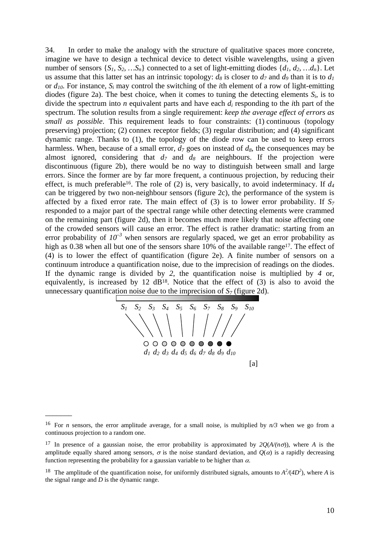34. In order to make the analogy with the structure of qualitative spaces more concrete, imagine we have to design a technical device to detect visible wavelengths, using a given number of sensors  $\{S_1, S_2, ..., S_n\}$  connected to a set of light-emitting diodes  $\{d_1, d_2, ..., d_n\}$ . Let us assume that this latter set has an intrinsic topology:  $d_8$  is closer to  $d_7$  and  $d_9$  than it is to  $d_1$ or *d10*. For instance, *Si* may control the switching of the *i*th element of a row of light-emitting diodes (figure 2a). The best choice, when it comes to tuning the detecting elements  $S_i$ , is to divide the spectrum into *n* equivalent parts and have each *di* responding to the *i*th part of the spectrum. The solution results from a single requirement: *keep the average effect of errors as small as possible*. This requirement leads to four constraints: (1) continuous (topology preserving) projection; (2) connex receptor fields; (3) regular distribution; and (4) significant dynamic range. Thanks to (1), the topology of the diode row can be used to keep errors harmless. When, because of a small error,  $d_7$  goes on instead of  $d_8$ , the consequences may be almost ignored, considering that  $d_7$  and  $d_8$  are neighbours. If the projection were discontinuous (figure 2b), there would be no way to distinguish between small and large errors. Since the former are by far more frequent, a continuous projection, by reducing their effect, is much preferable<sup>16</sup>. The role of (2) is, very basically, to avoid indeterminacy. If  $d_4$ can be triggered by two non-neighbour sensors (figure 2c), the performance of the system is affected by a fixed error rate. The main effect of (3) is to lower error probability. If *S7* responded to a major part of the spectral range while other detecting elements were crammed on the remaining part (figure 2d), then it becomes much more likely that noise affecting one of the crowded sensors will cause an error. The effect is rather dramatic: starting from an error probability of  $10^{-3}$  when sensors are regularly spaced, we get an error probability as high as 0.38 when all but one of the sensors share 10% of the available range<sup>17</sup>. The effect of (4) is to lower the effect of quantification (figure 2e). A finite number of sensors on a continuum introduce a quantification noise, due to the imprecision of readings on the diodes. If the dynamic range is divided by *2*, the quantification noise is multiplied by *4* or, equivalently, is increased by 12  $dB^{18}$ . Notice that the effect of (3) is also to avoid the unnecessary quantification noise due to the imprecision of  $S_7$  (figure 2d).



<sup>&</sup>lt;sup>16</sup> For *n* sensors, the error amplitude average, for a small noise, is multiplied by  $n/3$  when we go from a continuous projection to a random one.

<sup>&</sup>lt;sup>17</sup> In presence of a gaussian noise, the error probability is approximated by  $2O(A/(n\sigma))$ , where *A* is the amplitude equally shared among sensors,  $\sigma$  is the noise standard deviation, and  $Q(\alpha)$  is a rapidly decreasing function representing the probability for a gaussian variable to be higher than  $\alpha$ .

<sup>&</sup>lt;sup>18</sup> The amplitude of the quantification noise, for uniformly distributed signals, amounts to  $A^2/(4D^2)$ , where *A* is the signal range and *D* is the dynamic range.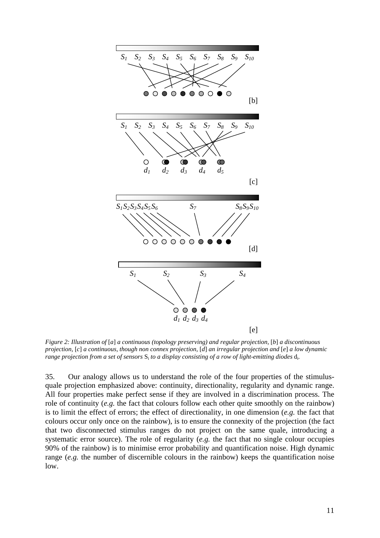

*Figure 2: Illustration of* [*a*] *a continuous (topology preserving) and regular projection,* [*b*] *a discontinuous projection,* [*c*] *a continuous, though non connex projection,* [*d*] *an irregular projection and* [*e*] *a low dynamic range projection from a set of sensors*  $S_i$  *to a display consisting of a row of light-emitting diodes*  $d_i$ .

35. Our analogy allows us to understand the role of the four properties of the stimulusquale projection emphasized above: continuity, directionality, regularity and dynamic range. All four properties make perfect sense if they are involved in a discrimination process. The role of continuity (*e.g.* the fact that colours follow each other quite smoothly on the rainbow) is to limit the effect of errors; the effect of directionality, in one dimension (*e.g.* the fact that colours occur only once on the rainbow), is to ensure the connexity of the projection (the fact that two disconnected stimulus ranges do not project on the same quale, introducing a systematic error source). The role of regularity (*e.g.* the fact that no single colour occupies 90% of the rainbow) is to minimise error probability and quantification noise. High dynamic range (*e.g.* the number of discernible colours in the rainbow) keeps the quantification noise low.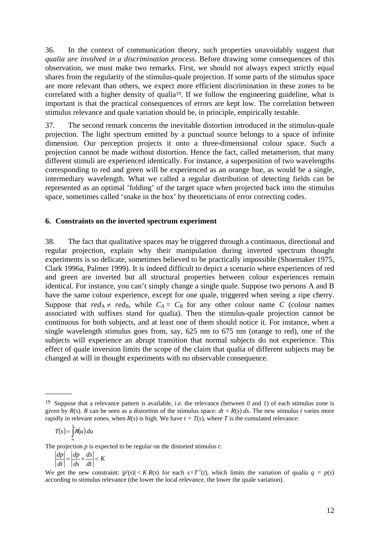36. In the context of communication theory, such properties unavoidably suggest that *qualia are involved in a discrimination process*. Before drawing some consequences of this observation, we must make two remarks. First, we should not always expect strictly equal shares from the regularity of the stimulus-quale projection. If some parts of the stimulus space are more relevant than others, we expect more efficient discrimination in these zones to be correlated with a higher density of qualia<sup>19</sup>. If we follow the engineering guideline, what is important is that the practical consequences of errors are kept low. The correlation between stimulus relevance and quale variation should be, in principle, empirically testable.

37. The second remark concerns the inevitable distortion introduced in the stimulus-quale projection. The light spectrum emitted by a punctual source belongs to a space of infinite dimension. Our perception projects it onto a three-dimensional colour space. Such a projection cannot be made without distortion. Hence the fact, called metamerism, that many different stimuli are experienced identically. For instance, a superposition of two wavelengths corresponding to red and green will be experienced as an orange hue, as would be a single, intermediary wavelength. What we called a regular distribution of detecting fields can be represented as an optimal 'folding' of the target space when projected back into the stimulus space, sometimes called 'snake in the box' by theoreticians of error correcting codes.

#### **6. Constraints on the inverted spectrum experiment**

38. The fact that qualitative spaces may be triggered through a continuous, directional and regular projection, explain why their manipulation during inverted spectrum thought experiments is so delicate, sometimes believed to be practically impossible (Shoemaker 1975, Clark 1996a, Palmer 1999). It is indeed difficult to depict a scenario where experiences of red and green are inverted but all structural properties between colour experiences remain identical. For instance, you can't simply change a single quale. Suppose two persons A and B have the same colour experience, except for one quale, triggered when seeing a ripe cherry. Suppose that  $red_A \neq red_B$ , while  $C_A = C_B$  for any other colour name *C* (colour names associated with suffixes stand for qualia). Then the stimulus-quale projection cannot be continuous for both subjects, and at least one of them should notice it. For instance, when a single wavelength stimulus goes from, say, 625 nm to 675 nm (orange to red), one of the subjects will experience an abrupt transition that normal subjects do not experience. This effect of quale inversion limits the scope of the claim that qualia of different subjects may be changed at will in thought experiments with no observable consequence.

$$
T(s) = \int_{s_0}^{s} R(u) du
$$

 $\overline{\phantom{a}}$ 

The projection *p* is expected to be regular on the distorted stimulus *t*:

$$
\left|\frac{dp}{dt}\right| = \left|\frac{dp}{ds} \times \frac{ds}{dt}\right| < K
$$

<sup>&</sup>lt;sup>19</sup> Suppose that a relevance pattern is available, *i.e.* the relevance (between  $\theta$  and  $I$ ) of each stimulus zone is given by  $R(s)$ .  $R$  can be seen as a distortion of the stimulus space:  $dt = R(s) ds$ . The new stimulus *t* varies more rapidly in relevant zones, when  $R(s)$  is high. We have  $t = T(s)$ , where T is the cumulated relevance:

We get the new constraint:  $|p'(s)| < KR(s)$  for each  $s = T<sup>1</sup>(t)$ , which limits the variation of qualia  $q = p(s)$ according to stimulus relevance (the lower the local relevance, the lower the quale variation).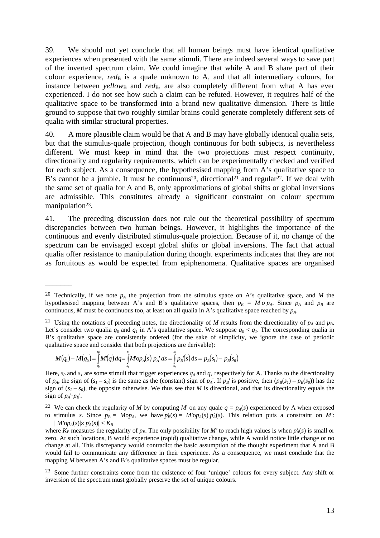39. We should not yet conclude that all human beings must have identical qualitative experiences when presented with the same stimuli. There are indeed several ways to save part of the inverted spectrum claim. We could imagine that while A and B share part of their colour experience, *red*<sub>B</sub> is a quale unknown to A, and that all intermediary colours, for instance between *yellow*<sub>B</sub> and  $red_B$ , are also completely different from what A has ever experienced. I do not see how such a claim can be refuted. However, it requires half of the qualitative space to be transformed into a brand new qualitative dimension. There is little ground to suppose that two roughly similar brains could generate completely different sets of qualia with similar structural properties.

40. A more plausible claim would be that A and B may have globally identical qualia sets, but that the stimulus-quale projection, though continuous for both subjects, is nevertheless different. We must keep in mind that the two projections must respect continuity, directionality and regularity requirements, which can be experimentally checked and verified for each subject. As a consequence, the hypothesised mapping from A's qualitative space to B's cannot be a jumble. It must be continuous<sup>20</sup>, directional<sup>21</sup> and regular<sup>22</sup>. If we deal with the same set of qualia for A and B, only approximations of global shifts or global inversions are admissible. This constitutes already a significant constraint on colour spectrum manipulation<sup>23</sup>.

41. The preceding discussion does not rule out the theoretical possibility of spectrum discrepancies between two human beings. However, it highlights the importance of the continuous and evenly distributed stimulus-quale projection. Because of it, no change of the spectrum can be envisaged except global shifts or global inversions. The fact that actual qualia offer resistance to manipulation during thought experiments indicates that they are not as fortuitous as would be expected from epiphenomena. Qualitative spaces are organised

$$
M(q_1) - M(q_0) = \int_{q_0}^{q_1} M(q) \, dq = \int_{s_0}^{s_1} M^{\prime} \, op_A(s) \, p_A \, ds = \int_{s_0}^{s_1} p_B(s) \, ds = p_B(s_1) - p_B(s_0)
$$

<sup>&</sup>lt;sup>20</sup> Technically, if we note  $p_A$  the projection from the stimulus space on A's qualitative space, and *M* the hypothesised mapping between A's and B's qualitative spaces, then  $p_B = M \circ p_A$ . Since  $p_A$  and  $p_B$  are continuous, *M* must be continuous too, at least on all qualia in A's qualitative space reached by *pA*.

<sup>&</sup>lt;sup>21</sup> Using the notations of preceding notes, the directionality of *M* results from the directionality of  $p_A$  and  $p_B$ . Let's consider two qualia  $q_0$  and  $q_1$  in A's qualitative space. We suppose  $q_0 < q_1$ . The corresponding qualia in B's qualitative space are consistently ordered (for the sake of simplicity, we ignore the case of periodic qualitative space and consider that both projections are derivable):

Here,  $s_0$  and  $s_1$  are some stimuli that trigger experiences  $q_0$  and  $q_1$  respectively for A. Thanks to the directionality of  $p_A$ , the sign of  $(s_I - s_0)$  is the same as the (constant) sign of  $p_A$ . If  $p_B$ ' is positive, then  $(p_B(s_I) - p_B(s_0))$  has the sign of  $(s<sub>1</sub> - s<sub>0</sub>)$ , the opposite otherwise. We thus see that *M* is directional, and that its directionality equals the sign of  $p_A$ <sup> $\cdot$ </sup> $p_B$ <sup>'</sup>.

<sup>&</sup>lt;sup>22</sup> We can check the regularity of *M* by computing *M*' on any quale  $q = p_A(s)$  experienced by A when exposed to stimulus *s*. Since  $p_B = M \circ p_A$ , we have  $p'_B(s) = M' \circ p_A(s) p'_A(s)$ . This relation puts a constraint on *M'*:  $|M'op_A(s)| \times |p'_A(s)| < K_B$ 

where  $K_B$  measures the regularity of  $p_B$ . The only possibility for M' to reach high values is when  $p'_A(s)$  is small or zero. At such locations, B would experience (rapid) qualitative change, while A would notice little change or no change at all. This discrepancy would contradict the basic assumption of the thought experiment that A and B would fail to communicate any difference in their experience. As a consequence, we must conclude that the mapping *M* between A's and B's qualitative spaces must be regular.

<sup>&</sup>lt;sup>23</sup> Some further constraints come from the existence of four 'unique' colours for every subject. Any shift or inversion of the spectrum must globally preserve the set of unique colours.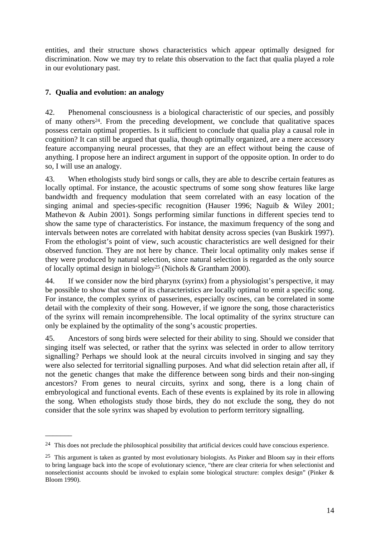entities, and their structure shows characteristics which appear optimally designed for discrimination. Now we may try to relate this observation to the fact that qualia played a role in our evolutionary past.

## **7. Qualia and evolution: an analogy**

 $\overline{\phantom{a}}$ 

42. Phenomenal consciousness is a biological characteristic of our species, and possibly of many others24. From the preceding development, we conclude that qualitative spaces possess certain optimal properties. Is it sufficient to conclude that qualia play a causal role in cognition? It can still be argued that qualia, though optimally organized, are a mere accessory feature accompanying neural processes, that they are an effect without being the cause of anything. I propose here an indirect argument in support of the opposite option. In order to do so, I will use an analogy.

43. When ethologists study bird songs or calls, they are able to describe certain features as locally optimal. For instance, the acoustic spectrums of some song show features like large bandwidth and frequency modulation that seem correlated with an easy location of the singing animal and species-specific recognition (Hauser 1996; Naguib & Wiley 2001; Mathevon & Aubin 2001). Songs performing similar functions in different species tend to show the same type of characteristics. For instance, the maximum frequency of the song and intervals between notes are correlated with habitat density across species (van Buskirk 1997). From the ethologist's point of view, such acoustic characteristics are well designed for their observed function. They are not here by chance. Their local optimality only makes sense if they were produced by natural selection, since natural selection is regarded as the only source of locally optimal design in biology25 (Nichols & Grantham 2000).

44. If we consider now the bird pharynx (syrinx) from a physiologist's perspective, it may be possible to show that some of its characteristics are locally optimal to emit a specific song. For instance, the complex syrinx of passerines, especially oscines, can be correlated in some detail with the complexity of their song. However, if we ignore the song, those characteristics of the syrinx will remain incomprehensible. The local optimality of the syrinx structure can only be explained by the optimality of the song's acoustic properties.

45. Ancestors of song birds were selected for their ability to sing. Should we consider that singing itself was selected, or rather that the syrinx was selected in order to allow territory signalling? Perhaps we should look at the neural circuits involved in singing and say they were also selected for territorial signalling purposes. And what did selection retain after all, if not the genetic changes that make the difference between song birds and their non-singing ancestors? From genes to neural circuits, syrinx and song, there is a long chain of embryological and functional events. Each of these events is explained by its role in allowing the song. When ethologists study those birds, they do not exclude the song, they do not consider that the sole syrinx was shaped by evolution to perform territory signalling.

<sup>&</sup>lt;sup>24</sup> This does not preclude the philosophical possibility that artificial devices could have conscious experience.

<sup>&</sup>lt;sup>25</sup> This argument is taken as granted by most evolutionary biologists. As Pinker and Bloom say in their efforts to bring language back into the scope of evolutionary science, "there are clear criteria for when selectionist and nonselectionist accounts should be invoked to explain some biological structure: complex design" (Pinker & Bloom 1990).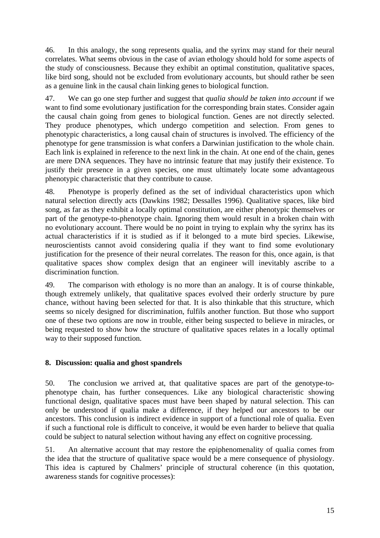46. In this analogy, the song represents qualia, and the syrinx may stand for their neural correlates. What seems obvious in the case of avian ethology should hold for some aspects of the study of consciousness. Because they exhibit an optimal constitution, qualitative spaces, like bird song, should not be excluded from evolutionary accounts, but should rather be seen as a genuine link in the causal chain linking genes to biological function.

47. We can go one step further and suggest that *qualia should be taken into account* if we want to find some evolutionary justification for the corresponding brain states. Consider again the causal chain going from genes to biological function. Genes are not directly selected. They produce phenotypes, which undergo competition and selection. From genes to phenotypic characteristics, a long causal chain of structures is involved. The efficiency of the phenotype for gene transmission is what confers a Darwinian justification to the whole chain. Each link is explained in reference to the next link in the chain. At one end of the chain, genes are mere DNA sequences. They have no intrinsic feature that may justify their existence. To justify their presence in a given species, one must ultimately locate some advantageous phenotypic characteristic that they contribute to cause.

48. Phenotype is properly defined as the set of individual characteristics upon which natural selection directly acts (Dawkins 1982; Dessalles 1996). Qualitative spaces, like bird song, as far as they exhibit a locally optimal constitution, are either phenotypic themselves or part of the genotype-to-phenotype chain. Ignoring them would result in a broken chain with no evolutionary account. There would be no point in trying to explain why the syrinx has its actual characteristics if it is studied as if it belonged to a mute bird species. Likewise, neuroscientists cannot avoid considering qualia if they want to find some evolutionary justification for the presence of their neural correlates. The reason for this, once again, is that qualitative spaces show complex design that an engineer will inevitably ascribe to a discrimination function.

49. The comparison with ethology is no more than an analogy. It is of course thinkable, though extremely unlikely, that qualitative spaces evolved their orderly structure by pure chance, without having been selected for that. It is also thinkable that this structure, which seems so nicely designed for discrimination, fulfils another function. But those who support one of these two options are now in trouble, either being suspected to believe in miracles, or being requested to show how the structure of qualitative spaces relates in a locally optimal way to their supposed function.

## **8. Discussion: qualia and ghost spandrels**

50. The conclusion we arrived at, that qualitative spaces are part of the genotype-tophenotype chain, has further consequences. Like any biological characteristic showing functional design, qualitative spaces must have been shaped by natural selection. This can only be understood if qualia make a difference, if they helped our ancestors to be our ancestors. This conclusion is indirect evidence in support of a functional role of qualia. Even if such a functional role is difficult to conceive, it would be even harder to believe that qualia could be subject to natural selection without having any effect on cognitive processing.

51. An alternative account that may restore the epiphenomenality of qualia comes from the idea that the structure of qualitative space would be a mere consequence of physiology. This idea is captured by Chalmers' principle of structural coherence (in this quotation, awareness stands for cognitive processes):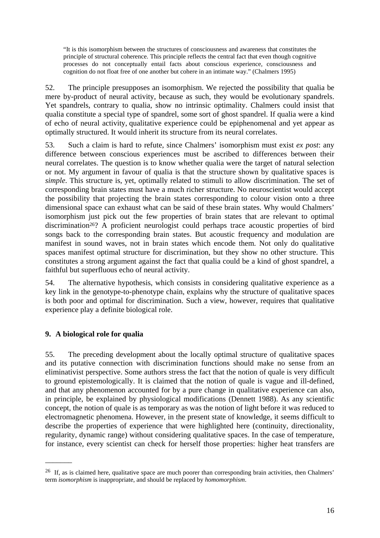"It is this isomorphism between the structures of consciousness and awareness that constitutes the principle of structural coherence. This principle reflects the central fact that even though cognitive processes do not conceptually entail facts about conscious experience, consciousness and cognition do not float free of one another but cohere in an intimate way." (Chalmers 1995)

52. The principle presupposes an isomorphism. We rejected the possibility that qualia be mere by-product of neural activity, because as such, they would be evolutionary spandrels. Yet spandrels, contrary to qualia, show no intrinsic optimality. Chalmers could insist that qualia constitute a special type of spandrel, some sort of ghost spandrel. If qualia were a kind of echo of neural activity, qualitative experience could be epiphenomenal and yet appear as optimally structured. It would inherit its structure from its neural correlates.

53. Such a claim is hard to refute, since Chalmers' isomorphism must exist *ex post*: any difference between conscious experiences must be ascribed to differences between their neural correlates. The question is to know whether qualia were the target of natural selection or not. My argument in favour of qualia is that the structure shown by qualitative spaces is *simple*. This structure is, yet, optimally related to stimuli to allow discrimination. The set of corresponding brain states must have a much richer structure. No neuroscientist would accept the possibility that projecting the brain states corresponding to colour vision onto a three dimensional space can exhaust what can be said of these brain states. Why would Chalmers' isomorphism just pick out the few properties of brain states that are relevant to optimal discrimination<sup>26</sup>? A proficient neurologist could perhaps trace acoustic properties of bird songs back to the corresponding brain states. But acoustic frequency and modulation are manifest in sound waves, not in brain states which encode them. Not only do qualitative spaces manifest optimal structure for discrimination, but they show no other structure. This constitutes a strong argument against the fact that qualia could be a kind of ghost spandrel, a faithful but superfluous echo of neural activity.

54. The alternative hypothesis, which consists in considering qualitative experience as a key link in the genotype-to-phenotype chain, explains why the structure of qualitative spaces is both poor and optimal for discrimination. Such a view, however, requires that qualitative experience play a definite biological role.

#### **9. A biological role for qualia**

 $\overline{\phantom{a}}$ 

55. The preceding development about the locally optimal structure of qualitative spaces and its putative connection with discrimination functions should make no sense from an eliminativist perspective. Some authors stress the fact that the notion of quale is very difficult to ground epistemologically. It is claimed that the notion of quale is vague and ill-defined, and that any phenomenon accounted for by a pure change in qualitative experience can also, in principle, be explained by physiological modifications (Dennett 1988). As any scientific concept, the notion of quale is as temporary as was the notion of light before it was reduced to electromagnetic phenomena. However, in the present state of knowledge, it seems difficult to describe the properties of experience that were highlighted here (continuity, directionality, regularity, dynamic range) without considering qualitative spaces. In the case of temperature, for instance, every scientist can check for herself those properties: higher heat transfers are

<sup>&</sup>lt;sup>26</sup> If, as is claimed here, qualitative space are much poorer than corresponding brain activities, then Chalmers' term *isomorphism* is inappropriate, and should be replaced by *homomorphism*.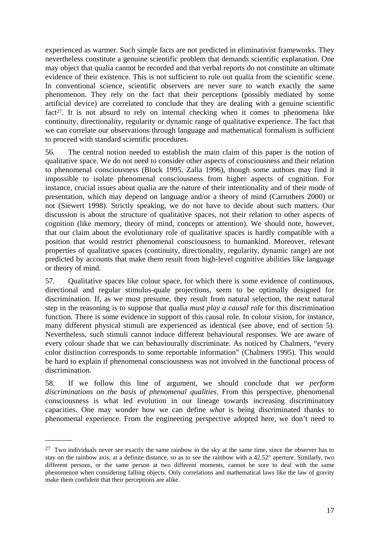experienced as warmer. Such simple facts are not predicted in eliminativist frameworks. They nevertheless constitute a genuine scientific problem that demands scientific explanation. One may object that qualia cannot be recorded and that verbal reports do not constitute an ultimate evidence of their existence. This is not sufficient to rule out qualia from the scientific scene. In conventional science, scientific observers are never sure to watch exactly the same phenomenon. They rely on the fact that their perceptions (possibly mediated by some artificial device) are correlated to conclude that they are dealing with a genuine scientific fact<sup>27</sup>. It is not absurd to rely on internal checking when it comes to phenomena like continuity, directionality, regularity or dynamic range of qualitative experience. The fact that we can correlate our observations through language and mathematical formalism is sufficient to proceed with standard scientific procedures.

56. The central notion needed to establish the main claim of this paper is the notion of qualitative space. We do not need to consider other aspects of consciousness and their relation to phenomenal consciousness (Block 1995, Zalla 1996), though some authors may find it impossible to isolate phenomenal consciousness from higher aspects of cognition. For instance, crucial issues about qualia are the nature of their intentionality and of their mode of presentation, which may depend on language and/or a theory of mind (Carruthers 2000) or not (Siewert 1998). Strictly speaking, we do not have to decide about such matters. Our discussion is about the structure of qualitative spaces, not their relation to other aspects of cognition (like memory, theory of mind, concepts or attention). We should note, however, that our claim about the evolutionary role of qualitative spaces is hardly compatible with a position that would restrict phenomenal consciousness to humankind. Moreover, relevant properties of qualitative spaces (continuity, directionality, regularity, dynamic range) are not predicted by accounts that make them result from high-level cognitive abilities like language or theory of mind.

57. Qualitative spaces like colour space, for which there is some evidence of continuous, directional and regular stimulus-quale projections, seem to be optimally designed for discrimination. If, as we must presume, they result from natural selection, the next natural step in the reasoning is to suppose that qualia *must play a causal role* for this discrimination function. There is some evidence in support of this causal role. In colour vision, for instance, many different physical stimuli are experienced as identical (see above, end of section 5). Nevertheless, such stimuli cannot induce different behavioural responses. We are aware of every colour shade that we can behaviourally discriminate. As noticed by Chalmers, "every color distinction corresponds to some reportable information" (Chalmers 1995). This would be hard to explain if phenomenal consciousness was not involved in the functional process of discrimination.

58. If we follow this line of argument, we should conclude that *we perform discriminations on the basis of phenomenal qualities*. From this perspective, phenomenal consciousness is what led evolution in our lineage towards increasing discriminatory capacities. One may wonder how we can define *what* is being discriminated thanks to phenomenal experience. From the engineering perspective adopted here, we don't need to

<sup>&</sup>lt;sup>27</sup> Two individuals never see exactly the same rainbow in the sky at the same time, since the observer has to stay on the rainbow axis, at a definite distance, so as to see the rainbow with a 42.52° aperture. Similarly, two different persons, or the same person at two different moments, cannot be sure to deal with the same phenomenon when considering falling objects. Only correlations and mathematical laws like the law of gravity make them confident that their perceptions are alike.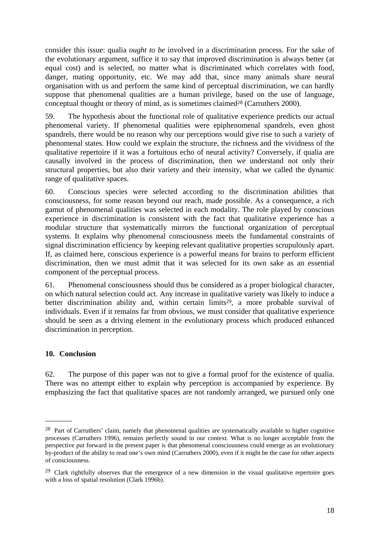consider this issue: qualia *ought to be* involved in a discrimination process. For the sake of the evolutionary argument, suffice it to say that improved discrimination is always better (at equal cost) and is selected, no matter what is discriminated which correlates with food, danger, mating opportunity, etc. We may add that, since many animals share neural organisation with us and perform the same kind of perceptual discrimination, we can hardly suppose that phenomenal qualities are a human privilege, based on the use of language, conceptual thought or theory of mind, as is sometimes claimed<sup>28</sup> (Carruthers 2000).

59. The hypothesis about the functional role of qualitative experience predicts our actual phenomenal variety. If phenomenal qualities were epiphenomenal spandrels, even ghost spandrels, there would be no reason why our perceptions would give rise to such a variety of phenomenal states. How could we explain the structure, the richness and the vividness of the qualitative repertoire if it was a fortuitous echo of neural activity? Conversely, if qualia are causally involved in the process of discrimination, then we understand not only their structural properties, but also their variety and their intensity, what we called the dynamic range of qualitative spaces.

60. Conscious species were selected according to the discrimination abilities that consciousness, for some reason beyond our reach, made possible. As a consequence, a rich gamut of phenomenal qualities was selected in each modality. The role played by conscious experience in discrimination is consistent with the fact that qualitative experience has a modular structure that systematically mirrors the functional organization of perceptual systems. It explains why phenomenal consciousness meets the fundamental constraints of signal discrimination efficiency by keeping relevant qualitative properties scrupulously apart. If, as claimed here, conscious experience is a powerful means for brains to perform efficient discrimination, then we must admit that it was selected for its own sake as an essential component of the perceptual process.

61. Phenomenal consciousness should thus be considered as a proper biological character, on which natural selection could act. Any increase in qualitative variety was likely to induce a better discrimination ability and, within certain limits<sup>29</sup>, a more probable survival of individuals. Even if it remains far from obvious, we must consider that qualitative experience should be seen as a driving element in the evolutionary process which produced enhanced discrimination in perception.

#### **10. Conclusion**

 $\overline{\phantom{a}}$ 

62. The purpose of this paper was not to give a formal proof for the existence of qualia. There was no attempt either to explain why perception is accompanied by experience. By emphasizing the fact that qualitative spaces are not randomly arranged, we pursued only one

<sup>&</sup>lt;sup>28</sup> Part of Carruthers' claim, namely that phenomenal qualities are systematically available to higher cognitive processes (Carruthers 1996), remains perfectly sound in our context. What is no longer acceptable from the perspective put forward in the present paper is that phenomenal consciousness could emerge as an evolutionary by-product of the ability to read one's own mind (Carruthers 2000), even if it might be the case for other aspects of consciousness.

 $29$  Clark rightfully observes that the emergence of a new dimension in the visual qualitative repertoire goes with a loss of spatial resolution (Clark 1996b).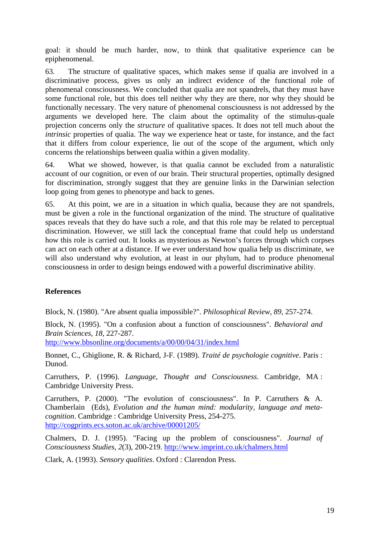goal: it should be much harder, now, to think that qualitative experience can be epiphenomenal.

63. The structure of qualitative spaces, which makes sense if qualia are involved in a discriminative process, gives us only an indirect evidence of the functional role of phenomenal consciousness. We concluded that qualia are not spandrels, that they must have some functional role, but this does tell neither why they are there, nor why they should be functionally necessary. The very nature of phenomenal consciousness is not addressed by the arguments we developed here. The claim about the optimality of the stimulus-quale projection concerns only the *structure* of qualitative spaces. It does not tell much about the *intrinsic* properties of qualia. The way we experience heat or taste, for instance, and the fact that it differs from colour experience, lie out of the scope of the argument, which only concerns the relationships between qualia within a given modality.

64. What we showed, however, is that qualia cannot be excluded from a naturalistic account of our cognition, or even of our brain. Their structural properties, optimally designed for discrimination, strongly suggest that they are genuine links in the Darwinian selection loop going from genes to phenotype and back to genes.

65. At this point, we are in a situation in which qualia, because they are not spandrels, must be given a role in the functional organization of the mind. The structure of qualitative spaces reveals that they do have such a role, and that this role may be related to perceptual discrimination. However, we still lack the conceptual frame that could help us understand how this role is carried out. It looks as mysterious as Newton's forces through which corpses can act on each other at a distance. If we ever understand how qualia help us discriminate, we will also understand why evolution, at least in our phylum, had to produce phenomenal consciousness in order to design beings endowed with a powerful discriminative ability.

#### **References**

Block, N. (1980). "Are absent qualia impossible?". *Philosophical Review*, *89*, 257-274.

Block, N. (1995). "On a confusion about a function of consciousness". *Behavioral and Brain Sciences*, *18*, 227-287.

http://www.bbsonline.org/documents/a/00/00/04/31/index.html

Bonnet, C., Ghiglione, R. & Richard, J-F. (1989). *Traité de psychologie cognitive*. Paris : Dunod.

Carruthers, P. (1996). *Language, Thought and Consciousness*. Cambridge, MA : Cambridge University Press.

Carruthers, P. (2000). "The evolution of consciousness". In P. Carruthers & A. Chamberlain (Eds), *Evolution and the human mind: modularity, language and metacognition*. Cambridge : Cambridge University Press, 254-275. http://cogprints.ecs.soton.ac.uk/archive/00001205/

Chalmers, D. J. (1995). "Facing up the problem of consciousness". *Journal of Consciousness Studies*, *2*(3), 200-219. http://www.imprint.co.uk/chalmers.html

Clark, A. (1993). *Sensory qualities*. Oxford : Clarendon Press.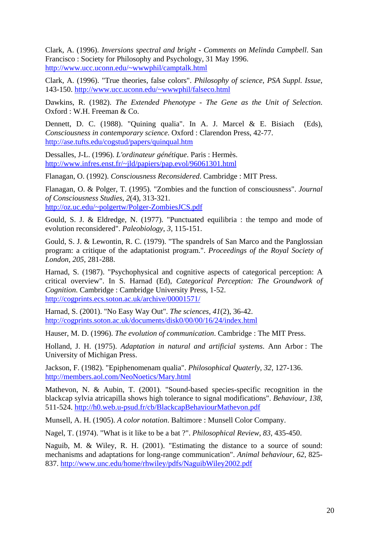Clark, A. (1996). *Inversions spectral and bright - Comments on Melinda Campbell*. San Francisco : Society for Philosophy and Psychology, 31 May 1996. http://www.ucc.uconn.edu/~wwwphil/camptalk.html

Clark, A. (1996). "True theories, false colors". *Philosophy of science*, *PSA Suppl. Issue*, 143-150. http://www.ucc.uconn.edu/~wwwphil/falseco.html

Dawkins, R. (1982). *The Extended Phenotype - The Gene as the Unit of Selection*. Oxford : W.H. Freeman & Co.

Dennett, D. C. (1988). "Quining qualia". In A. J. Marcel & E. Bisiach (Eds), *Consciousness in contemporary science*. Oxford : Clarendon Press, 42-77. http://ase.tufts.edu/cogstud/papers/quinqual.htm

Dessalles, J-L. (1996). *L'ordinateur génétique*. Paris : Hermès. http://www.infres.enst.fr/~jld/papiers/pap.evol/96061301.html

Flanagan, O. (1992). *Consciousness Reconsidered*. Cambridge : MIT Press.

Flanagan, O. & Polger, T. (1995). "Zombies and the function of consciousness". *Journal of Consciousness Studies*, *2*(4), 313-321. http://oz.uc.edu/~polgertw/Polger-ZombiesJCS.pdf

Gould, S. J. & Eldredge, N. (1977). "Punctuated equilibria : the tempo and mode of evolution reconsidered". *Paleobiology*, *3*, 115-151.

Gould, S. J. & Lewontin, R. C. (1979). "The spandrels of San Marco and the Panglossian program: a critique of the adaptationist program.". *Proceedings of the Royal Society of London*, *205*, 281-288.

Harnad, S. (1987). "Psychophysical and cognitive aspects of categorical perception: A critical overview". In S. Harnad (Ed), *Categorical Perception: The Groundwork of Cognition*. Cambridge : Cambridge University Press, 1-52. http://cogprints.ecs.soton.ac.uk/archive/00001571/

Harnad, S. (2001). "No Easy Way Out". *The sciences*, *41*(2), 36-42. http://cogprints.soton.ac.uk/documents/disk0/00/00/16/24/index.html

Hauser, M. D. (1996). *The evolution of communication*. Cambridge : The MIT Press.

Holland, J. H. (1975). *Adaptation in natural and artificial systems*. Ann Arbor : The University of Michigan Press.

Jackson, F. (1982). "Epiphenomenam qualia". *Philosophical Quaterly*, *32*, 127-136. http://members.aol.com/NeoNoetics/Mary.html

Mathevon, N. & Aubin, T. (2001). "Sound-based species-specific recognition in the blackcap sylvia atricapilla shows high tolerance to signal modifications". *Behaviour*, *138*, 511-524. http://h0.web.u-psud.fr/cb/BlackcapBehaviourMathevon.pdf

Munsell, A. H. (1905). *A color notation*. Baltimore : Munsell Color Company.

Nagel, T. (1974). "What is it like to be a bat ?". *Philosophical Review*, *83*, 435-450.

Naguib, M. & Wiley, R. H. (2001). "Estimating the distance to a source of sound: mechanisms and adaptations for long-range communication". *Animal behaviour*, *62*, 825- 837. http://www.unc.edu/home/rhwiley/pdfs/NaguibWiley2002.pdf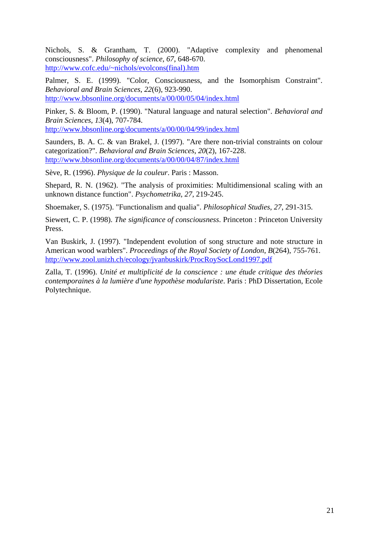Nichols, S. & Grantham, T. (2000). "Adaptive complexity and phenomenal consciousness". *Philosophy of science*, *67*, 648-670. http://www.cofc.edu/~nichols/evolcons(final).htm

Palmer, S. E. (1999). "Color, Consciousness, and the Isomorphism Constraint". *Behavioral and Brain Sciences*, *22*(6), 923-990. http://www.bbsonline.org/documents/a/00/00/05/04/index.html

Pinker, S. & Bloom, P. (1990). "Natural language and natural selection". *Behavioral and Brain Sciences*, *13*(4), 707-784.

http://www.bbsonline.org/documents/a/00/00/04/99/index.html

Saunders, B. A. C. & van Brakel, J. (1997). "Are there non-trivial constraints on colour categorization?". *Behavioral and Brain Sciences*, *20*(2), 167-228. http://www.bbsonline.org/documents/a/00/00/04/87/index.html

Sève, R. (1996). *Physique de la couleur*. Paris : Masson.

Shepard, R. N. (1962). "The analysis of proximities: Multidimensional scaling with an unknown distance function". *Psychometrika*, *27*, 219-245.

Shoemaker, S. (1975). "Functionalism and qualia". *Philosophical Studies*, *27*, 291-315.

Siewert, C. P. (1998). *The significance of consciousness*. Princeton : Princeton University Press.

Van Buskirk, J. (1997). "Independent evolution of song structure and note structure in American wood warblers". *Proceedings of the Royal Society of London*, *B*(264), 755-761. http://www.zool.unizh.ch/ecology/jvanbuskirk/ProcRoySocLond1997.pdf

Zalla, T. (1996). *Unité et multiplicité de la conscience : une étude critique des théories contemporaines à la lumière d'une hypothèse modulariste*. Paris : PhD Dissertation, Ecole Polytechnique.